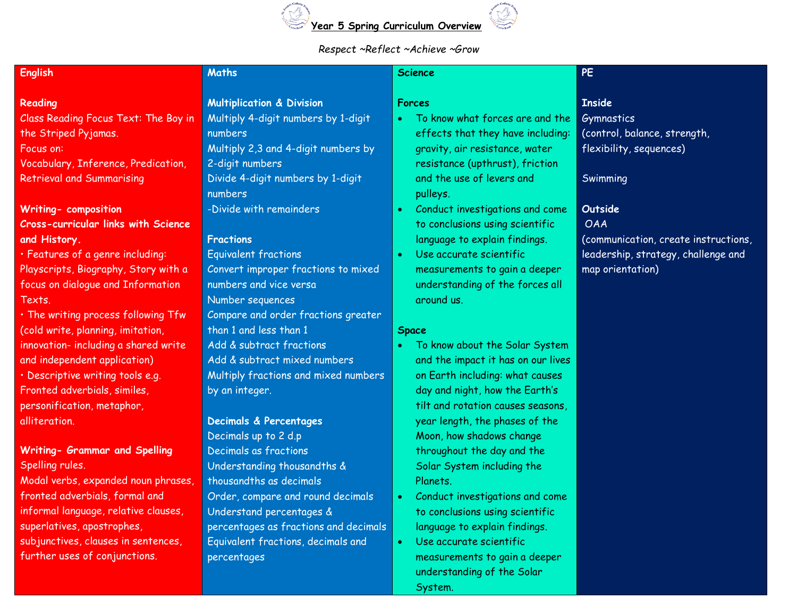

## *Respect ~Reflect ~Achieve ~Grow*

| <b>English</b>                             | <b>Maths</b>                          | <b>Science</b>                               | PE                                   |
|--------------------------------------------|---------------------------------------|----------------------------------------------|--------------------------------------|
| Reading                                    | <b>Multiplication &amp; Division</b>  | <b>Forces</b>                                | <b>Inside</b>                        |
| Class Reading Focus Text: The Boy in       | Multiply 4-digit numbers by 1-digit   | To know what forces are and the              | Gymnastics                           |
| the Striped Pyjamas.                       | numbers                               | effects that they have including:            | (control, balance, strength,         |
| Focus on:                                  | Multiply 2,3 and 4-digit numbers by   | gravity, air resistance, water               | flexibility, sequences)              |
| Vocabulary, Inference, Predication,        | 2-digit numbers                       | resistance (upthrust), friction              |                                      |
| <b>Retrieval and Summarising</b>           | Divide 4-digit numbers by 1-digit     | and the use of levers and                    | Swimming                             |
|                                            | numbers                               | pulleys.                                     |                                      |
| <b>Writing- composition</b>                | -Divide with remainders               | Conduct investigations and come<br>$\bullet$ | Outside                              |
| <b>Cross-curricular links with Science</b> |                                       | to conclusions using scientific              | <b>OAA</b>                           |
| and History.                               | <b>Fractions</b>                      | language to explain findings.                | (communication, create instructions, |
| · Features of a genre including:           | <b>Equivalent fractions</b>           | Use accurate scientific                      | leadership, strategy, challenge and  |
| Playscripts, Biography, Story with a       | Convert improper fractions to mixed   | measurements to gain a deeper                | map orientation)                     |
| focus on dialogue and Information          | numbers and vice versa                | understanding of the forces all              |                                      |
| Texts.                                     | Number sequences                      | around us.                                   |                                      |
| . The writing process following Tfw        | Compare and order fractions greater   |                                              |                                      |
| (cold write, planning, imitation,          | than 1 and less than 1                | <b>Space</b>                                 |                                      |
| innovation- including a shared write       | Add & subtract fractions              | To know about the Solar System<br>$\bullet$  |                                      |
| and independent application)               | Add & subtract mixed numbers          | and the impact it has on our lives           |                                      |
| · Descriptive writing tools e.g.           | Multiply fractions and mixed numbers  | on Earth including: what causes              |                                      |
| Fronted adverbials, similes,               | by an integer.                        | day and night, how the Earth's               |                                      |
| personification, metaphor,                 |                                       | tilt and rotation causes seasons,            |                                      |
| alliteration.                              | Decimals & Percentages                | year length, the phases of the               |                                      |
|                                            | Decimals up to 2 d.p                  | Moon, how shadows change                     |                                      |
| Writing- Grammar and Spelling              | Decimals as fractions                 | throughout the day and the                   |                                      |
| Spelling rules.                            | Understanding thousandths &           | Solar System including the                   |                                      |
| Modal verbs, expanded noun phrases,        | thousand ths as decimals              | Planets.                                     |                                      |
| fronted adverbials, formal and             | Order, compare and round decimals     | $\bullet$<br>Conduct investigations and come |                                      |
| informal language, relative clauses,       | Understand percentages &              | to conclusions using scientific              |                                      |
| superlatives, apostrophes,                 | percentages as fractions and decimals | language to explain findings.                |                                      |
| subjunctives, clauses in sentences,        | Equivalent fractions, decimals and    | Use accurate scientific<br>$\bullet$         |                                      |
| further uses of conjunctions.              | percentages                           | measurements to gain a deeper                |                                      |
|                                            |                                       | understanding of the Solar                   |                                      |

System.